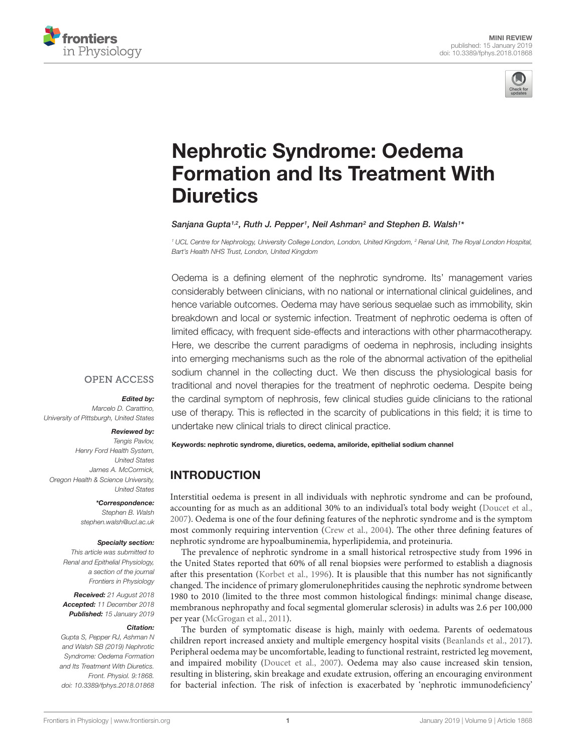



# Nephrotic Syndrome: Oedema [Formation and Its Treatment With](https://www.frontiersin.org/articles/10.3389/fphys.2018.01868/full) **Diuretics**

#### Sanjana Gupta<sup>1,2</sup>, Ruth J. Pepper<sup>1</sup>, Neil Ashman<sup>2</sup> and [Stephen B. Walsh](http://loop.frontiersin.org/people/166918/overview)<sup>1\*</sup>

<sup>1</sup> UCL Centre for Nephrology, University College London, London, United Kingdom, <sup>2</sup> Renal Unit, The Royal London Hospital, Bart's Health NHS Trust, London, United Kingdom

Oedema is a defining element of the nephrotic syndrome. Its' management varies considerably between clinicians, with no national or international clinical guidelines, and hence variable outcomes. Oedema may have serious sequelae such as immobility, skin breakdown and local or systemic infection. Treatment of nephrotic oedema is often of limited efficacy, with frequent side-effects and interactions with other pharmacotherapy. Here, we describe the current paradigms of oedema in nephrosis, including insights into emerging mechanisms such as the role of the abnormal activation of the epithelial sodium channel in the collecting duct. We then discuss the physiological basis for traditional and novel therapies for the treatment of nephrotic oedema. Despite being the cardinal symptom of nephrosis, few clinical studies guide clinicians to the rational use of therapy. This is reflected in the scarcity of publications in this field; it is time to undertake new clinical trials to direct clinical practice.

### **OPEN ACCESS**

#### Edited by:

Marcelo D. Carattino, University of Pittsburgh, United States

#### Reviewed by:

Tengis Pavlov, Henry Ford Health System, United States James A. McCormick, Oregon Health & Science University, United States

> \*Correspondence: Stephen B. Walsh stephen.walsh@ucl.ac.uk

#### Specialty section:

This article was submitted to Renal and Epithelial Physiology, a section of the journal Frontiers in Physiology

Received: 21 August 2018 Accepted: 11 December 2018 Published: 15 January 2019

#### Citation:

Gupta S, Pepper RJ, Ashman N and Walsh SB (2019) Nephrotic Syndrome: Oedema Formation and Its Treatment With Diuretics. Front. Physiol. 9:1868. doi: [10.3389/fphys.2018.01868](https://doi.org/10.3389/fphys.2018.01868)

Keywords: nephrotic syndrome, diuretics, oedema, amiloride, epithelial sodium channel

# INTRODUCTION

Interstitial oedema is present in all individuals with nephrotic syndrome and can be profound, accounting for as much as an additional 30% to an individual's total body weight [\(Doucet et al.,](#page-7-0) [2007\)](#page-7-0). Oedema is one of the four defining features of the nephrotic syndrome and is the symptom most commonly requiring intervention [\(Crew et al.,](#page-6-0) [2004\)](#page-6-0). The other three defining features of nephrotic syndrome are hypoalbuminemia, hyperlipidemia, and proteinuria.

The prevalence of nephrotic syndrome in a small historical retrospective study from 1996 in the United States reported that 60% of all renal biopsies were performed to establish a diagnosis after this presentation [\(Korbet et al.,](#page-7-1) [1996\)](#page-7-1). It is plausible that this number has not significantly changed. The incidence of primary glomerulonephritides causing the nephrotic syndrome between 1980 to 2010 (limited to the three most common histological findings: minimal change disease, membranous nephropathy and focal segmental glomerular sclerosis) in adults was 2.6 per 100,000 per year [\(McGrogan et al.,](#page-8-0) [2011\)](#page-8-0).

The burden of symptomatic disease is high, mainly with oedema. Parents of oedematous children report increased anxiety and multiple emergency hospital visits [\(Beanlands et al.,](#page-6-1) [2017\)](#page-6-1). Peripheral oedema may be uncomfortable, leading to functional restraint, restricted leg movement, and impaired mobility [\(Doucet et al.,](#page-7-0) [2007\)](#page-7-0). Oedema may also cause increased skin tension, resulting in blistering, skin breakage and exudate extrusion, offering an encouraging environment for bacterial infection. The risk of infection is exacerbated by 'nephrotic immunodeficiency'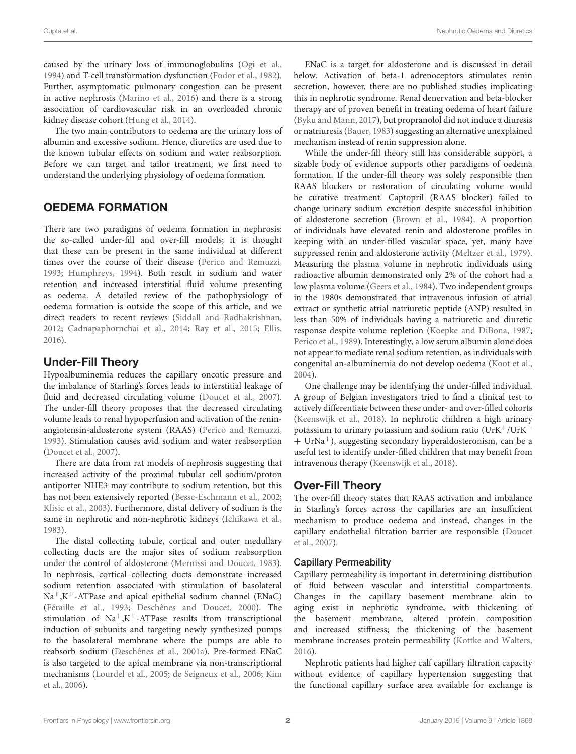caused by the urinary loss of immunoglobulins [\(Ogi et al.,](#page-8-1) [1994\)](#page-8-1) and T-cell transformation dysfunction [\(Fodor et al.,](#page-7-2) [1982\)](#page-7-2). Further, asymptomatic pulmonary congestion can be present in active nephrosis [\(Marino et al.,](#page-8-2) [2016\)](#page-8-2) and there is a strong association of cardiovascular risk in an overloaded chronic kidney disease cohort [\(Hung et al.,](#page-7-3) [2014\)](#page-7-3).

The two main contributors to oedema are the urinary loss of albumin and excessive sodium. Hence, diuretics are used due to the known tubular effects on sodium and water reabsorption. Before we can target and tailor treatment, we first need to understand the underlying physiology of oedema formation.

# OEDEMA FORMATION

There are two paradigms of oedema formation in nephrosis: the so-called under-fill and over-fill models; it is thought that these can be present in the same individual at different times over the course of their disease [\(Perico and Remuzzi,](#page-8-3) [1993;](#page-8-3) [Humphreys,](#page-7-4) [1994\)](#page-7-4). Both result in sodium and water retention and increased interstitial fluid volume presenting as oedema. A detailed review of the pathophysiology of oedema formation is outside the scope of this article, and we direct readers to recent reviews [\(Siddall and Radhakrishnan,](#page-8-4) [2012;](#page-8-4) [Cadnapaphornchai et al.,](#page-6-2) [2014;](#page-6-2) [Ray et al.,](#page-8-5) [2015;](#page-8-5) [Ellis,](#page-7-5) [2016\)](#page-7-5).

# Under-Fill Theory

Hypoalbuminemia reduces the capillary oncotic pressure and the imbalance of Starling's forces leads to interstitial leakage of fluid and decreased circulating volume [\(Doucet et al.,](#page-7-0) [2007\)](#page-7-0). The under-fill theory proposes that the decreased circulating volume leads to renal hypoperfusion and activation of the reninangiotensin-aldosterone system (RAAS) [\(Perico and Remuzzi,](#page-8-3) [1993\)](#page-8-3). Stimulation causes avid sodium and water reabsorption [\(Doucet et al.,](#page-7-0) [2007\)](#page-7-0).

There are data from rat models of nephrosis suggesting that increased activity of the proximal tubular cell sodium/proton antiporter NHE3 may contribute to sodium retention, but this has not been extensively reported [\(Besse-Eschmann et al.,](#page-6-3) [2002;](#page-6-3) [Klisic et al.,](#page-7-6) [2003\)](#page-7-6). Furthermore, distal delivery of sodium is the same in nephrotic and non-nephrotic kidneys [\(Ichikawa et al.,](#page-7-7) [1983\)](#page-7-7).

The distal collecting tubule, cortical and outer medullary collecting ducts are the major sites of sodium reabsorption under the control of aldosterone [\(Mernissi and Doucet,](#page-8-6) [1983\)](#page-8-6). In nephrosis, cortical collecting ducts demonstrate increased sodium retention associated with stimulation of basolateral  $Na^+, K^+$ -ATPase and apical epithelial sodium channel (ENaC) [\(Féraille et al.,](#page-7-8) [1993;](#page-7-8) [Deschênes and Doucet,](#page-6-4) [2000\)](#page-6-4). The stimulation of  $Na^+, K^+$ -ATPase results from transcriptional induction of subunits and targeting newly synthesized pumps to the basolateral membrane where the pumps are able to reabsorb sodium [\(Deschênes et al.,](#page-6-5) [2001a\)](#page-6-5). Pre-formed ENaC is also targeted to the apical membrane via non-transcriptional mechanisms [\(Lourdel et al.,](#page-8-7) [2005;](#page-8-7) [de Seigneux et al.,](#page-6-6) [2006;](#page-6-6) [Kim](#page-7-9) [et al.,](#page-7-9) [2006\)](#page-7-9).

ENaC is a target for aldosterone and is discussed in detail below. Activation of beta-1 adrenoceptors stimulates renin secretion, however, there are no published studies implicating this in nephrotic syndrome. Renal denervation and beta-blocker therapy are of proven benefit in treating oedema of heart failure [\(Byku and Mann,](#page-6-7) [2017\)](#page-6-7), but propranolol did not induce a diuresis or natriuresis [\(Bauer,](#page-6-8) [1983\)](#page-6-8) suggesting an alternative unexplained mechanism instead of renin suppression alone.

While the under-fill theory still has considerable support, a sizable body of evidence supports other paradigms of oedema formation. If the under-fill theory was solely responsible then RAAS blockers or restoration of circulating volume would be curative treatment. Captopril (RAAS blocker) failed to change urinary sodium excretion despite successful inhibition of aldosterone secretion [\(Brown et al.,](#page-6-9) [1984\)](#page-6-9). A proportion of individuals have elevated renin and aldosterone profiles in keeping with an under-filled vascular space, yet, many have suppressed renin and aldosterone activity [\(Meltzer et al.,](#page-8-8) [1979\)](#page-8-8). Measuring the plasma volume in nephrotic individuals using radioactive albumin demonstrated only 2% of the cohort had a low plasma volume [\(Geers et al.,](#page-7-10) [1984\)](#page-7-10). Two independent groups in the 1980s demonstrated that intravenous infusion of atrial extract or synthetic atrial natriuretic peptide (ANP) resulted in less than 50% of individuals having a natriuretic and diuretic response despite volume repletion [\(Koepke and DiBona,](#page-7-11) [1987;](#page-7-11) [Perico et al.,](#page-8-9) [1989\)](#page-8-9). Interestingly, a low serum albumin alone does not appear to mediate renal sodium retention, as individuals with congenital an-albuminemia do not develop oedema [\(Koot et al.,](#page-7-12) [2004\)](#page-7-12).

One challenge may be identifying the under-filled individual. A group of Belgian investigators tried to find a clinical test to actively differentiate between these under- and over-filled cohorts [\(Keenswijk et al.,](#page-7-13) [2018\)](#page-7-13). In nephrotic children a high urinary potassium to urinary potassium and sodium ratio  $(UrK^+/UrK^+)$  $+$  UrNa<sup>+</sup>), suggesting secondary hyperaldosteronism, can be a useful test to identify under-filled children that may benefit from intravenous therapy [\(Keenswijk et al.,](#page-7-13) [2018\)](#page-7-13).

# Over-Fill Theory

The over-fill theory states that RAAS activation and imbalance in Starling's forces across the capillaries are an insufficient mechanism to produce oedema and instead, changes in the capillary endothelial filtration barrier are responsible [\(Doucet](#page-7-0) [et al.,](#page-7-0) [2007\)](#page-7-0).

### Capillary Permeability

Capillary permeability is important in determining distribution of fluid between vascular and interstitial compartments. Changes in the capillary basement membrane akin to aging exist in nephrotic syndrome, with thickening of the basement membrane, altered protein composition and increased stiffness; the thickening of the basement membrane increases protein permeability [\(Kottke and Walters,](#page-7-14) [2016\)](#page-7-14).

Nephrotic patients had higher calf capillary filtration capacity without evidence of capillary hypertension suggesting that the functional capillary surface area available for exchange is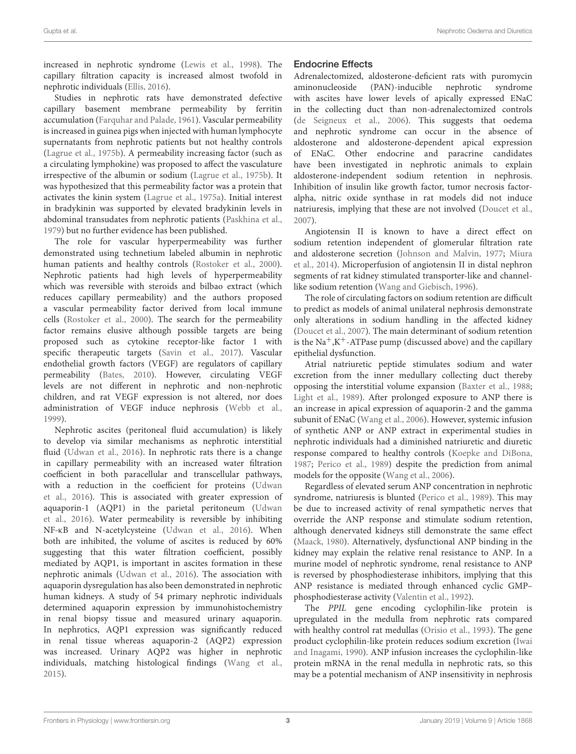increased in nephrotic syndrome [\(Lewis et al.,](#page-7-15) [1998\)](#page-7-15). The capillary filtration capacity is increased almost twofold in nephrotic individuals [\(Ellis,](#page-7-5) [2016\)](#page-7-5).

Studies in nephrotic rats have demonstrated defective capillary basement membrane permeability by ferritin accumulation [\(Farquhar and Palade,](#page-7-16) [1961\)](#page-7-16). Vascular permeability is increased in guinea pigs when injected with human lymphocyte supernatants from nephrotic patients but not healthy controls [\(Lagrue et al.,](#page-7-17) [1975b\)](#page-7-17). A permeability increasing factor (such as a circulating lymphokine) was proposed to affect the vasculature irrespective of the albumin or sodium [\(Lagrue et al.,](#page-7-17) [1975b\)](#page-7-17). It was hypothesized that this permeability factor was a protein that activates the kinin system [\(Lagrue et al.,](#page-7-18) [1975a\)](#page-7-18). Initial interest in bradykinin was supported by elevated bradykinin levels in abdominal transudates from nephrotic patients [\(Paskhina et al.,](#page-8-10) [1979\)](#page-8-10) but no further evidence has been published.

The role for vascular hyperpermeability was further demonstrated using technetium labeled albumin in nephrotic human patients and healthy controls [\(Rostoker et al.,](#page-8-11) [2000\)](#page-8-11). Nephrotic patients had high levels of hyperpermeability which was reversible with steroids and bilbao extract (which reduces capillary permeability) and the authors proposed a vascular permeability factor derived from local immune cells [\(Rostoker et al.,](#page-8-11) [2000\)](#page-8-11). The search for the permeability factor remains elusive although possible targets are being proposed such as cytokine receptor-like factor 1 with specific therapeutic targets [\(Savin et al.,](#page-8-12) [2017\)](#page-8-12). Vascular endothelial growth factors (VEGF) are regulators of capillary permeability [\(Bates,](#page-6-10) [2010\)](#page-6-10). However, circulating VEGF levels are not different in nephrotic and non-nephrotic children, and rat VEGF expression is not altered, nor does administration of VEGF induce nephrosis [\(Webb et al.,](#page-9-0) [1999\)](#page-9-0).

Nephrotic ascites (peritoneal fluid accumulation) is likely to develop via similar mechanisms as nephrotic interstitial fluid [\(Udwan et al.,](#page-9-1) [2016\)](#page-9-1). In nephrotic rats there is a change in capillary permeability with an increased water filtration coefficient in both paracellular and transcellular pathways, with a reduction in the coefficient for proteins [\(Udwan](#page-9-1) [et al.,](#page-9-1) [2016\)](#page-9-1). This is associated with greater expression of aquaporin-1 (AQP1) in the parietal peritoneum [\(Udwan](#page-9-1) [et al.,](#page-9-1) [2016\)](#page-9-1). Water permeability is reversible by inhibiting NF-κB and N-acetylcysteine [\(Udwan et al.,](#page-9-1) [2016\)](#page-9-1). When both are inhibited, the volume of ascites is reduced by 60% suggesting that this water filtration coefficient, possibly mediated by AQP1, is important in ascites formation in these nephrotic animals [\(Udwan et al.,](#page-9-1) [2016\)](#page-9-1). The association with aquaporin dysregulation has also been demonstrated in nephrotic human kidneys. A study of 54 primary nephrotic individuals determined aquaporin expression by immunohistochemistry in renal biopsy tissue and measured urinary aquaporin. In nephrotics, AQP1 expression was significantly reduced in renal tissue whereas aquaporin-2 (AQP2) expression was increased. Urinary AQP2 was higher in nephrotic individuals, matching histological findings [\(Wang et al.,](#page-9-2) [2015\)](#page-9-2).

#### Endocrine Effects

Adrenalectomized, aldosterone-deficient rats with puromycin aminonucleoside (PAN)-inducible nephrotic syndrome with ascites have lower levels of apically expressed ENaC in the collecting duct than non-adrenalectomized controls [\(de Seigneux et al.,](#page-6-6) [2006\)](#page-6-6). This suggests that oedema and nephrotic syndrome can occur in the absence of aldosterone and aldosterone-dependent apical expression of ENaC. Other endocrine and paracrine candidates have been investigated in nephrotic animals to explain aldosterone-independent sodium retention in nephrosis. Inhibition of insulin like growth factor, tumor necrosis factoralpha, nitric oxide synthase in rat models did not induce natriuresis, implying that these are not involved [\(Doucet et al.,](#page-7-0) [2007\)](#page-7-0).

Angiotensin II is known to have a direct effect on sodium retention independent of glomerular filtration rate and aldosterone secretion [\(Johnson and Malvin,](#page-7-19) [1977;](#page-7-19) [Miura](#page-8-13) [et al.,](#page-8-13) [2014\)](#page-8-13). Microperfusion of angiotensin II in distal nephron segments of rat kidney stimulated transporter-like and channellike sodium retention [\(Wang and Giebisch,](#page-9-3) [1996\)](#page-9-3).

The role of circulating factors on sodium retention are difficult to predict as models of animal unilateral nephrosis demonstrate only alterations in sodium handling in the affected kidney [\(Doucet et al.,](#page-7-0) [2007\)](#page-7-0). The main determinant of sodium retention is the  $\text{Na}^+$ , K<sup>+</sup>-ATPase pump (discussed above) and the capillary epithelial dysfunction.

Atrial natriuretic peptide stimulates sodium and water excretion from the inner medullary collecting duct thereby opposing the interstitial volume expansion [\(Baxter et al.,](#page-6-11) [1988;](#page-6-11) [Light et al.,](#page-7-20) [1989\)](#page-7-20). After prolonged exposure to ANP there is an increase in apical expression of aquaporin-2 and the gamma subunit of ENaC [\(Wang et al.,](#page-9-4) [2006\)](#page-9-4). However, systemic infusion of synthetic ANP or ANP extract in experimental studies in nephrotic individuals had a diminished natriuretic and diuretic response compared to healthy controls [\(Koepke and DiBona,](#page-7-11) [1987;](#page-7-11) [Perico et al.,](#page-8-9) [1989\)](#page-8-9) despite the prediction from animal models for the opposite [\(Wang et al.,](#page-9-4) [2006\)](#page-9-4).

Regardless of elevated serum ANP concentration in nephrotic syndrome, natriuresis is blunted [\(Perico et al.,](#page-8-9) [1989\)](#page-8-9). This may be due to increased activity of renal sympathetic nerves that override the ANP response and stimulate sodium retention, although denervated kidneys still demonstrate the same effect [\(Maack,](#page-8-14) [1980\)](#page-8-14). Alternatively, dysfunctional ANP binding in the kidney may explain the relative renal resistance to ANP. In a murine model of nephrotic syndrome, renal resistance to ANP is reversed by phosphodiesterase inhibitors, implying that this ANP resistance is mediated through enhanced cyclic GMP– phosphodiesterase activity [\(Valentin et al.,](#page-9-5) [1992\)](#page-9-5).

The PPIL gene encoding cyclophilin-like protein is upregulated in the medulla from nephrotic rats compared with healthy control rat medullas [\(Orisio et al.,](#page-8-15) [1993\)](#page-8-15). The gene product cyclophilin-like protein reduces sodium excretion [\(Iwai](#page-7-21) [and Inagami,](#page-7-21) [1990\)](#page-7-21). ANP infusion increases the cyclophilin-like protein mRNA in the renal medulla in nephrotic rats, so this may be a potential mechanism of ANP insensitivity in nephrosis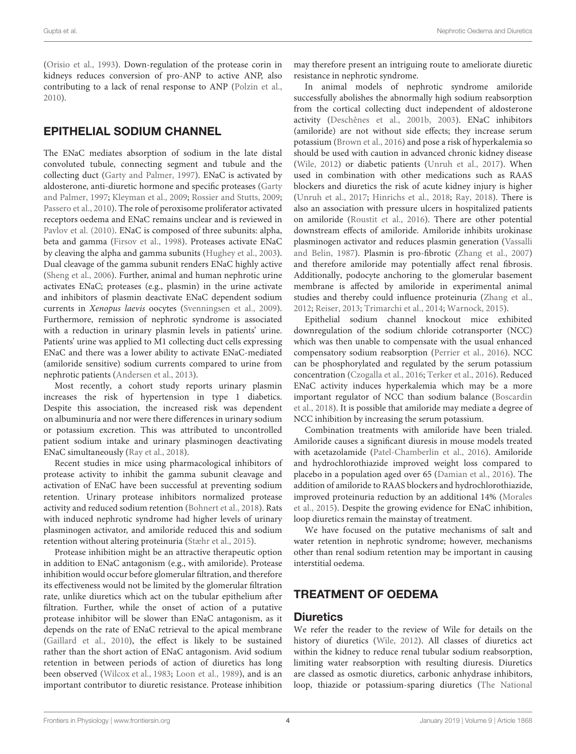[\(Orisio et al.,](#page-8-15) [1993\)](#page-8-15). Down-regulation of the protease corin in kidneys reduces conversion of pro-ANP to active ANP, also contributing to a lack of renal response to ANP [\(Polzin et al.,](#page-8-16) [2010\)](#page-8-16).

# EPITHELIAL SODIUM CHANNEL

The ENaC mediates absorption of sodium in the late distal convoluted tubule, connecting segment and tubule and the collecting duct [\(Garty and Palmer,](#page-7-22) [1997\)](#page-7-22). ENaC is activated by aldosterone, anti-diuretic hormone and specific proteases [\(Garty](#page-7-22) [and Palmer,](#page-7-22) [1997;](#page-7-22) [Kleyman et al.,](#page-7-23) [2009;](#page-7-23) [Rossier and Stutts,](#page-8-17) [2009;](#page-8-17) [Passero et al.,](#page-8-18) [2010\)](#page-8-18). The role of peroxisome proliferator activated receptors oedema and ENaC remains unclear and is reviewed in [Pavlov et al.](#page-8-19) [\(2010\)](#page-8-19). ENaC is composed of three subunits: alpha, beta and gamma [\(Firsov et al.,](#page-7-24) [1998\)](#page-7-24). Proteases activate ENaC by cleaving the alpha and gamma subunits [\(Hughey et al.,](#page-7-25) [2003\)](#page-7-25). Dual cleavage of the gamma subunit renders ENaC highly active [\(Sheng et al.,](#page-8-20) [2006\)](#page-8-20). Further, animal and human nephrotic urine activates ENaC; proteases (e.g., plasmin) in the urine activate and inhibitors of plasmin deactivate ENaC dependent sodium currents in Xenopus laevis oocytes [\(Svenningsen et al.,](#page-9-6) [2009\)](#page-9-6). Furthermore, remission of nephrotic syndrome is associated with a reduction in urinary plasmin levels in patients' urine. Patients' urine was applied to M1 collecting duct cells expressing ENaC and there was a lower ability to activate ENaC-mediated (amiloride sensitive) sodium currents compared to urine from nephrotic patients [\(Andersen et al.,](#page-6-12) [2013\)](#page-6-12).

Most recently, a cohort study reports urinary plasmin increases the risk of hypertension in type 1 diabetics. Despite this association, the increased risk was dependent on albuminuria and nor were there differences in urinary sodium or potassium excretion. This was attributed to uncontrolled patient sodium intake and urinary plasminogen deactivating ENaC simultaneously [\(Ray et al.,](#page-8-21) [2018\)](#page-8-21).

Recent studies in mice using pharmacological inhibitors of protease activity to inhibit the gamma subunit cleavage and activation of ENaC have been successful at preventing sodium retention. Urinary protease inhibitors normalized protease activity and reduced sodium retention [\(Bohnert et al.,](#page-6-13) [2018\)](#page-6-13). Rats with induced nephrotic syndrome had higher levels of urinary plasminogen activator, and amiloride reduced this and sodium retention without altering proteinuria [\(Stæhr et al.,](#page-9-7) [2015\)](#page-9-7).

Protease inhibition might be an attractive therapeutic option in addition to ENaC antagonism (e.g., with amiloride). Protease inhibition would occur before glomerular filtration, and therefore its effectiveness would not be limited by the glomerular filtration rate, unlike diuretics which act on the tubular epithelium after filtration. Further, while the onset of action of a putative protease inhibitor will be slower than ENaC antagonism, as it depends on the rate of ENaC retrieval to the apical membrane [\(Gaillard et al.,](#page-7-26) [2010\)](#page-7-26), the effect is likely to be sustained rather than the short action of ENaC antagonism. Avid sodium retention in between periods of action of diuretics has long been observed [\(Wilcox et al.,](#page-9-8) [1983;](#page-9-8) [Loon et al.,](#page-7-27) [1989\)](#page-7-27), and is an important contributor to diuretic resistance. Protease inhibition

may therefore present an intriguing route to ameliorate diuretic resistance in nephrotic syndrome.

In animal models of nephrotic syndrome amiloride successfully abolishes the abnormally high sodium reabsorption from the cortical collecting duct independent of aldosterone activity [\(Deschênes et al.,](#page-7-28) [2001b,](#page-7-28) [2003\)](#page-6-14). ENaC inhibitors (amiloride) are not without side effects; they increase serum potassium [\(Brown et al.,](#page-6-15) [2016\)](#page-6-15) and pose a risk of hyperkalemia so should be used with caution in advanced chronic kidney disease [\(Wile,](#page-9-9) [2012\)](#page-9-9) or diabetic patients [\(Unruh et al.,](#page-9-10) [2017\)](#page-9-10). When used in combination with other medications such as RAAS blockers and diuretics the risk of acute kidney injury is higher [\(Unruh et al.,](#page-9-10) [2017;](#page-9-10) [Hinrichs et al.,](#page-7-29) [2018;](#page-7-29) [Ray,](#page-8-22) [2018\)](#page-8-22). There is also an association with pressure ulcers in hospitalized patients on amiloride [\(Roustit et al.,](#page-8-23) [2016\)](#page-8-23). There are other potential downstream effects of amiloride. Amiloride inhibits urokinase plasminogen activator and reduces plasmin generation [\(Vassalli](#page-9-11) [and Belin,](#page-9-11) [1987\)](#page-9-11). Plasmin is pro-fibrotic [\(Zhang et al.,](#page-9-12) [2007\)](#page-9-12) and therefore amiloride may potentially affect renal fibrosis. Additionally, podocyte anchoring to the glomerular basement membrane is affected by amiloride in experimental animal studies and thereby could influence proteinuria [\(Zhang et al.,](#page-9-13) [2012;](#page-9-13) [Reiser,](#page-8-24) [2013;](#page-8-24) [Trimarchi et al.,](#page-9-14) [2014;](#page-9-14) [Warnock,](#page-9-15) [2015\)](#page-9-15).

Epithelial sodium channel knockout mice exhibited downregulation of the sodium chloride cotransporter (NCC) which was then unable to compensate with the usual enhanced compensatory sodium reabsorption [\(Perrier et al.,](#page-8-25) [2016\)](#page-8-25). NCC can be phosphorylated and regulated by the serum potassium concentration [\(Czogalla et al.,](#page-6-16) [2016;](#page-6-16) [Terker et al.,](#page-9-16) [2016\)](#page-9-16). Reduced ENaC activity induces hyperkalemia which may be a more important regulator of NCC than sodium balance [\(Boscardin](#page-6-17) [et al.,](#page-6-17) [2018\)](#page-6-17). It is possible that amiloride may mediate a degree of NCC inhibition by increasing the serum potassium.

Combination treatments with amiloride have been trialed. Amiloride causes a significant diuresis in mouse models treated with acetazolamide [\(Patel-Chamberlin et al.,](#page-8-26) [2016\)](#page-8-26). Amiloride and hydrochlorothiazide improved weight loss compared to placebo in a population aged over 65 [\(Damian et al.,](#page-6-18) [2016\)](#page-6-18). The addition of amiloride to RAAS blockers and hydrochlorothiazide, improved proteinuria reduction by an additional 14% [\(Morales](#page-8-27) [et al.,](#page-8-27) [2015\)](#page-8-27). Despite the growing evidence for ENaC inhibition, loop diuretics remain the mainstay of treatment.

We have focused on the putative mechanisms of salt and water retention in nephrotic syndrome; however, mechanisms other than renal sodium retention may be important in causing interstitial oedema.

# TREATMENT OF OEDEMA

## **Diuretics**

We refer the reader to the review of Wile for details on the history of diuretics [\(Wile,](#page-9-9) [2012\)](#page-9-9). All classes of diuretics act within the kidney to reduce renal tubular sodium reabsorption, limiting water reabsorption with resulting diuresis. Diuretics are classed as osmotic diuretics, carbonic anhydrase inhibitors, loop, thiazide or potassium-sparing diuretics [\(The National](#page-9-17)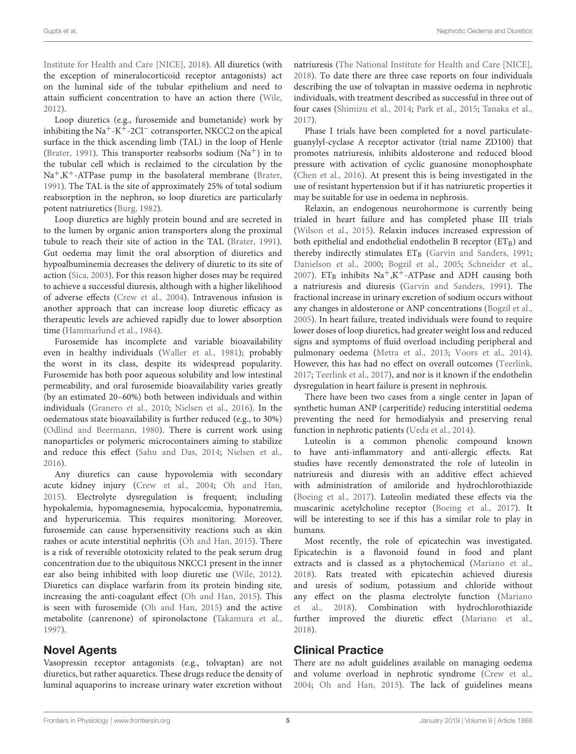[Institute for Health and Care \[NICE\],](#page-9-17) [2018\)](#page-9-17). All diuretics (with the exception of mineralocorticoid receptor antagonists) act on the luminal side of the tubular epithelium and need to attain sufficient concentration to have an action there [\(Wile,](#page-9-9) [2012\)](#page-9-9).

Loop diuretics (e.g., furosemide and bumetanide) work by inhibiting the Na<sup>+</sup>-K<sup>+</sup>-2Cl<sup>−</sup> cotransporter, NKCC2 on the apical surface in the thick ascending limb (TAL) in the loop of Henle [\(Brater,](#page-6-19) [1991\)](#page-6-19). This transporter reabsorbs sodium  $(Na^+)$  in to the tubular cell which is reclaimed to the circulation by the  $Na<sup>+</sup>, K<sup>+</sup>$ -ATPase pump in the basolateral membrane [\(Brater,](#page-6-19) [1991\)](#page-6-19). The TAL is the site of approximately 25% of total sodium reabsorption in the nephron, so loop diuretics are particularly potent natriuretics [\(Burg,](#page-6-20) [1982\)](#page-6-20).

Loop diuretics are highly protein bound and are secreted in to the lumen by organic anion transporters along the proximal tubule to reach their site of action in the TAL [\(Brater,](#page-6-19) [1991\)](#page-6-19). Gut oedema may limit the oral absorption of diuretics and hypoalbuminemia decreases the delivery of diuretic to its site of action [\(Sica,](#page-8-28) [2003\)](#page-8-28). For this reason higher doses may be required to achieve a successful diuresis, although with a higher likelihood of adverse effects [\(Crew et al.,](#page-6-0) [2004\)](#page-6-0). Intravenous infusion is another approach that can increase loop diuretic efficacy as therapeutic levels are achieved rapidly due to lower absorption time [\(Hammarlund et al.,](#page-7-30) [1984\)](#page-7-30).

Furosemide has incomplete and variable bioavailability even in healthy individuals [\(Waller et al.,](#page-9-18) [1981\)](#page-9-18); probably the worst in its class, despite its widespread popularity. Furosemide has both poor aqueous solubility and low intestinal permeability, and oral furosemide bioavailability varies greatly (by an estimated 20–60%) both between individuals and within individuals [\(Granero et al.,](#page-7-31) [2010;](#page-7-31) [Nielsen et al.,](#page-8-29) [2016\)](#page-8-29). In the oedematous state bioavailability is further reduced (e.g., to 30%) [\(Odlind and Beermann,](#page-8-30) [1980\)](#page-8-30). There is current work using nanoparticles or polymeric microcontainers aiming to stabilize and reduce this effect [\(Sahu and Das,](#page-8-31) [2014;](#page-8-31) [Nielsen et al.,](#page-8-29) [2016\)](#page-8-29).

Any diuretics can cause hypovolemia with secondary acute kidney injury [\(Crew et al.,](#page-6-0) [2004;](#page-6-0) [Oh and Han,](#page-8-32) [2015\)](#page-8-32). Electrolyte dysregulation is frequent; including hypokalemia, hypomagnesemia, hypocalcemia, hyponatremia, and hyperuricemia. This requires monitoring. Moreover, furosemide can cause hypersensitivity reactions such as skin rashes or acute interstitial nephritis [\(Oh and Han,](#page-8-32) [2015\)](#page-8-32). There is a risk of reversible ototoxicity related to the peak serum drug concentration due to the ubiquitous NKCC1 present in the inner ear also being inhibited with loop diuretic use [\(Wile,](#page-9-9) [2012\)](#page-9-9). Diuretics can displace warfarin from its protein binding site, increasing the anti-coagulant effect [\(Oh and Han,](#page-8-32) [2015\)](#page-8-32). This is seen with furosemide [\(Oh and Han,](#page-8-32) [2015\)](#page-8-32) and the active metabolite (canrenone) of spironolactone [\(Takamura et al.,](#page-9-19) [1997\)](#page-9-19).

### Novel Agents

Vasopressin receptor antagonists (e.g., tolvaptan) are not diuretics, but rather aquaretics. These drugs reduce the density of luminal aquaporins to increase urinary water excretion without

natriuresis [\(The National Institute for Health and Care \[NICE\],](#page-9-17) [2018\)](#page-9-17). To date there are three case reports on four individuals describing the use of tolvaptan in massive oedema in nephrotic individuals, with treatment described as successful in three out of four cases [\(Shimizu et al.,](#page-8-33) [2014;](#page-8-33) [Park et al.,](#page-8-34) [2015;](#page-8-34) [Tanaka et al.,](#page-9-20) [2017\)](#page-9-20).

Phase I trials have been completed for a novel particulateguanylyl-cyclase A receptor activator (trial name ZD100) that promotes natriuresis, inhibits aldosterone and reduced blood pressure with activation of cyclic guanosine monophosphate [\(Chen et al.,](#page-6-21) [2016\)](#page-6-21). At present this is being investigated in the use of resistant hypertension but if it has natriuretic properties it may be suitable for use in oedema in nephrosis.

Relaxin, an endogenous neurohormone is currently being trialed in heart failure and has completed phase III trials [\(Wilson et al.,](#page-9-21) [2015\)](#page-9-21). Relaxin induces increased expression of both epithelial and endothelial endothelin B receptor  $(ET_B)$  and thereby indirectly stimulates  $ET_B$  [\(Garvin and Sanders,](#page-7-32) [1991;](#page-7-32) [Danielson et al.,](#page-6-22) [2000;](#page-6-22) [Bogzil et al.,](#page-6-23) [2005;](#page-6-23) [Schneider et al.,](#page-8-35) [2007\)](#page-8-35). ET<sub>B</sub> inhibits  $Na^+, K^+$ -ATPase and ADH causing both a natriuresis and diuresis [\(Garvin and Sanders,](#page-7-32) [1991\)](#page-7-32). The fractional increase in urinary excretion of sodium occurs without any changes in aldosterone or ANP concentrations [\(Bogzil et al.,](#page-6-23) [2005\)](#page-6-23). In heart failure, treated individuals were found to require lower doses of loop diuretics, had greater weight loss and reduced signs and symptoms of fluid overload including peripheral and pulmonary oedema [\(Metra et al.,](#page-8-36) [2013;](#page-8-36) [Voors et al.,](#page-9-22) [2014\)](#page-9-22). However, this has had no effect on overall outcomes [\(Teerlink,](#page-9-23) [2017;](#page-9-23) [Teerlink et al.,](#page-9-24) [2017\)](#page-9-24), and nor is it known if the endothelin dysregulation in heart failure is present in nephrosis.

There have been two cases from a single center in Japan of synthetic human ANP (carperitide) reducing interstitial oedema preventing the need for hemodialysis and preserving renal function in nephrotic patients [\(Ueda et al.,](#page-9-25) [2014\)](#page-9-25).

Luteolin is a common phenolic compound known to have anti-inflammatory and anti-allergic effects. Rat studies have recently demonstrated the role of luteolin in natriuresis and diuresis with an additive effect achieved with administration of amiloride and hydrochlorothiazide [\(Boeing et al.,](#page-6-24) [2017\)](#page-6-24). Luteolin mediated these effects via the muscarinic acetylcholine receptor [\(Boeing et al.,](#page-6-24) [2017\)](#page-6-24). It will be interesting to see if this has a similar role to play in humans.

Most recently, the role of epicatechin was investigated. Epicatechin is a flavonoid found in food and plant extracts and is classed as a phytochemical [\(Mariano et al.,](#page-8-37) [2018\)](#page-8-37). Rats treated with epicatechin achieved diuresis and uresis of sodium, potassium and chloride without any effect on the plasma electrolyte function [\(Mariano](#page-8-37) [et al.,](#page-8-37) [2018\)](#page-8-37). Combination with hydrochlorothiazide further improved the diuretic effect [\(Mariano et al.,](#page-8-37) [2018\)](#page-8-37).

### Clinical Practice

There are no adult guidelines available on managing oedema and volume overload in nephrotic syndrome [\(Crew et al.,](#page-6-0) [2004;](#page-6-0) [Oh and Han,](#page-8-32) [2015\)](#page-8-32). The lack of guidelines means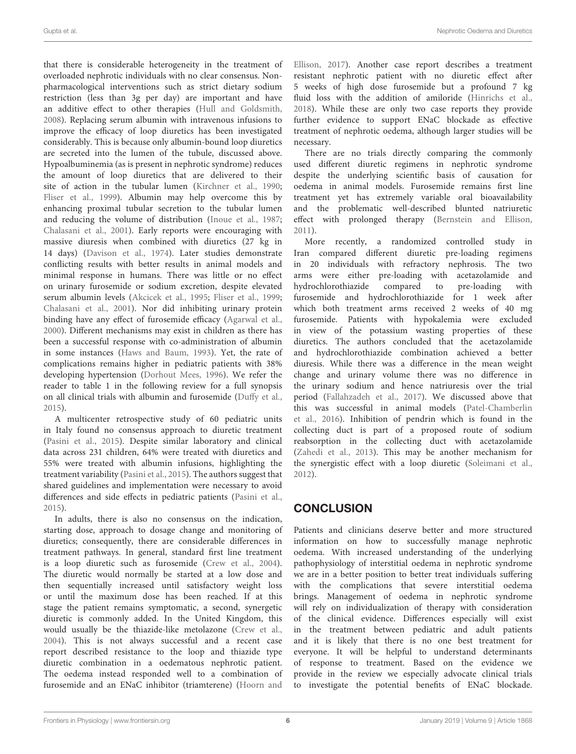that there is considerable heterogeneity in the treatment of overloaded nephrotic individuals with no clear consensus. Nonpharmacological interventions such as strict dietary sodium restriction (less than 3g per day) are important and have an additive effect to other therapies [\(Hull and Goldsmith,](#page-7-33) [2008\)](#page-7-33). Replacing serum albumin with intravenous infusions to improve the efficacy of loop diuretics has been investigated considerably. This is because only albumin-bound loop diuretics are secreted into the lumen of the tubule, discussed above. Hypoalbuminemia (as is present in nephrotic syndrome) reduces the amount of loop diuretics that are delivered to their site of action in the tubular lumen [\(Kirchner et al.,](#page-7-34) [1990;](#page-7-34) [Fliser et al.,](#page-7-35) [1999\)](#page-7-35). Albumin may help overcome this by enhancing proximal tubular secretion to the tubular lumen and reducing the volume of distribution [\(Inoue et al.,](#page-7-36) [1987;](#page-7-36) [Chalasani et al.,](#page-6-25) [2001\)](#page-6-25). Early reports were encouraging with massive diuresis when combined with diuretics (27 kg in 14 days) [\(Davison et al.,](#page-6-26) [1974\)](#page-6-26). Later studies demonstrate conflicting results with better results in animal models and minimal response in humans. There was little or no effect on urinary furosemide or sodium excretion, despite elevated serum albumin levels [\(Akcicek et al.,](#page-6-27) [1995;](#page-6-27) [Fliser et al.,](#page-7-35) [1999;](#page-7-35) [Chalasani et al.,](#page-6-25) [2001\)](#page-6-25). Nor did inhibiting urinary protein binding have any effect of furosemide efficacy [\(Agarwal et al.,](#page-6-28) [2000\)](#page-6-28). Different mechanisms may exist in children as there has been a successful response with co-administration of albumin in some instances [\(Haws and Baum,](#page-7-37) [1993\)](#page-7-37). Yet, the rate of complications remains higher in pediatric patients with 38% developing hypertension [\(Dorhout Mees,](#page-7-38) [1996\)](#page-7-38). We refer the reader to table 1 in the following review for a full synopsis on all clinical trials with albumin and furosemide [\(Duffy et al.,](#page-7-39) [2015\)](#page-7-39).

A multicenter retrospective study of 60 pediatric units in Italy found no consensus approach to diuretic treatment [\(Pasini et al.,](#page-8-38) [2015\)](#page-8-38). Despite similar laboratory and clinical data across 231 children, 64% were treated with diuretics and 55% were treated with albumin infusions, highlighting the treatment variability [\(Pasini et al.,](#page-8-38) [2015\)](#page-8-38). The authors suggest that shared guidelines and implementation were necessary to avoid differences and side effects in pediatric patients [\(Pasini et al.,](#page-8-38) [2015\)](#page-8-38).

In adults, there is also no consensus on the indication, starting dose, approach to dosage change and monitoring of diuretics; consequently, there are considerable differences in treatment pathways. In general, standard first line treatment is a loop diuretic such as furosemide [\(Crew et al.,](#page-6-0) [2004\)](#page-6-0). The diuretic would normally be started at a low dose and then sequentially increased until satisfactory weight loss or until the maximum dose has been reached. If at this stage the patient remains symptomatic, a second, synergetic diuretic is commonly added. In the United Kingdom, this would usually be the thiazide-like metolazone [\(Crew et al.,](#page-6-0) [2004\)](#page-6-0). This is not always successful and a recent case report described resistance to the loop and thiazide type diuretic combination in a oedematous nephrotic patient. The oedema instead responded well to a combination of furosemide and an ENaC inhibitor (triamterene) [\(Hoorn and](#page-7-40)

[Ellison,](#page-7-40) [2017\)](#page-7-40). Another case report describes a treatment resistant nephrotic patient with no diuretic effect after 5 weeks of high dose furosemide but a profound 7 kg fluid loss with the addition of amiloride [\(Hinrichs et al.,](#page-7-29) [2018\)](#page-7-29). While these are only two case reports they provide further evidence to support ENaC blockade as effective treatment of nephrotic oedema, although larger studies will be necessary.

There are no trials directly comparing the commonly used different diuretic regimens in nephrotic syndrome despite the underlying scientific basis of causation for oedema in animal models. Furosemide remains first line treatment yet has extremely variable oral bioavailability and the problematic well-described blunted natriuretic effect with prolonged therapy [\(Bernstein and Ellison,](#page-6-29) [2011\)](#page-6-29).

More recently, a randomized controlled study in Iran compared different diuretic pre-loading regimens in 20 individuals with refractory nephrosis. The two arms were either pre-loading with acetazolamide and hydrochlorothiazide compared to pre-loading with furosemide and hydrochlorothiazide for 1 week after which both treatment arms received 2 weeks of 40 mg furosemide. Patients with hypokalemia were excluded in view of the potassium wasting properties of these diuretics. The authors concluded that the acetazolamide and hydrochlorothiazide combination achieved a better diuresis. While there was a difference in the mean weight change and urinary volume there was no difference in the urinary sodium and hence natriuresis over the trial period [\(Fallahzadeh et al.,](#page-7-41) [2017\)](#page-7-41). We discussed above that this was successful in animal models [\(Patel-Chamberlin](#page-8-26) [et al.,](#page-8-26) [2016\)](#page-8-26). Inhibition of pendrin which is found in the collecting duct is part of a proposed route of sodium reabsorption in the collecting duct with acetazolamide [\(Zahedi et al.,](#page-9-26) [2013\)](#page-9-26). This may be another mechanism for the synergistic effect with a loop diuretic [\(Soleimani et al.,](#page-9-27) [2012\)](#page-9-27).

# **CONCLUSION**

Patients and clinicians deserve better and more structured information on how to successfully manage nephrotic oedema. With increased understanding of the underlying pathophysiology of interstitial oedema in nephrotic syndrome we are in a better position to better treat individuals suffering with the complications that severe interstitial oedema brings. Management of oedema in nephrotic syndrome will rely on individualization of therapy with consideration of the clinical evidence. Differences especially will exist in the treatment between pediatric and adult patients and it is likely that there is no one best treatment for everyone. It will be helpful to understand determinants of response to treatment. Based on the evidence we provide in the review we especially advocate clinical trials to investigate the potential benefits of ENaC blockade.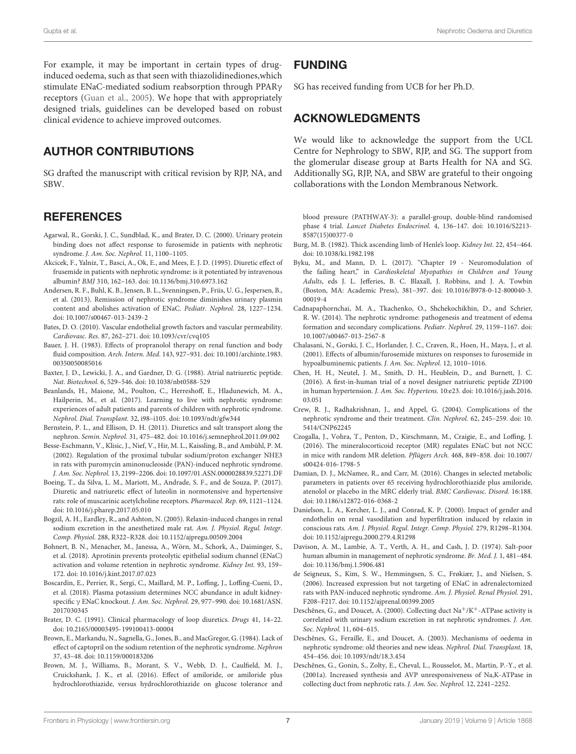For example, it may be important in certain types of druginduced oedema, such as that seen with thiazolidinediones,which stimulate ENaC-mediated sodium reabsorption through PPARγ receptors [\(Guan et al.,](#page-7-42) [2005\)](#page-7-42). We hope that with appropriately designed trials, guidelines can be developed based on robust clinical evidence to achieve improved outcomes.

# AUTHOR CONTRIBUTIONS

SG drafted the manuscript with critical revision by RJP, NA, and SBW.

# **REFERENCES**

- <span id="page-6-28"></span>Agarwal, R., Gorski, J. C., Sundblad, K., and Brater, D. C. (2000). Urinary protein binding does not affect response to furosemide in patients with nephrotic syndrome. J. Am. Soc. Nephrol. 11, 1100–1105.
- <span id="page-6-27"></span>Akcicek, F., Yalniz, T., Basci, A., Ok, E., and Mees, E. J. D. (1995). Diuretic effect of frusemide in patients with nephrotic syndrome: is it potentiated by intravenous albumin? BMJ 310, 162–163. [doi: 10.1136/bmj.310.6973.162](https://doi.org/10.1136/bmj.310.6973.162)
- <span id="page-6-12"></span>Andersen, R. F., Buhl, K. B., Jensen, B. L., Svenningsen, P., Friis, U. G., Jespersen, B., et al. (2013). Remission of nephrotic syndrome diminishes urinary plasmin content and abolishes activation of ENaC. Pediatr. Nephrol. 28, 1227–1234. [doi: 10.1007/s00467-013-2439-2](https://doi.org/10.1007/s00467-013-2439-2)
- <span id="page-6-10"></span>Bates, D. O. (2010). Vascular endothelial growth factors and vascular permeability. Cardiovasc. Res. 87, 262–271. [doi: 10.1093/cvr/cvq105](https://doi.org/10.1093/cvr/cvq105)
- <span id="page-6-8"></span>Bauer, J. H. (1983). Effects of propranolol therapy on renal function and body fluid composition. Arch. Intern. Med. 143, 927–931. [doi: 10.1001/archinte.1983.](https://doi.org/10.1001/archinte.1983.00350050085016) [00350050085016](https://doi.org/10.1001/archinte.1983.00350050085016)
- <span id="page-6-11"></span>Baxter, J. D., Lewicki, J. A., and Gardner, D. G. (1988). Atrial natriuretic peptide. Nat. Biotechnol. 6, 529–546. [doi: 10.1038/nbt0588-529](https://doi.org/10.1038/nbt0588-529)
- <span id="page-6-1"></span>Beanlands, H., Maione, M., Poulton, C., Herreshoff, E., Hladunewich, M. A., Hailperin, M., et al. (2017). Learning to live with nephrotic syndrome: experiences of adult patients and parents of children with nephrotic syndrome. Nephrol. Dial. Transplant. 32, i98–i105. [doi: 10.1093/ndt/gfw344](https://doi.org/10.1093/ndt/gfw344)
- <span id="page-6-29"></span>Bernstein, P. L., and Ellison, D. H. (2011). Diuretics and salt transport along the nephron. Semin. Nephrol. 31, 475–482. [doi: 10.1016/j.semnephrol.2011.09.002](https://doi.org/10.1016/j.semnephrol.2011.09.002)
- <span id="page-6-3"></span>Besse-Eschmann, V., Klisic, J., Nief, V., Hir, M. L., Kaissling, B., and Ambühl, P. M. (2002). Regulation of the proximal tubular sodium/proton exchanger NHE3 in rats with puromycin aminonucleoside (PAN)-induced nephrotic syndrome. J. Am. Soc. Nephrol. 13, 2199–2206. [doi: 10.1097/01.ASN.0000028839.52271.DF](https://doi.org/10.1097/01.ASN.0000028839.52271.DF)
- <span id="page-6-24"></span>Boeing, T., da Silva, L. M., Mariott, M., Andrade, S. F., and de Souza, P. (2017). Diuretic and natriuretic effect of luteolin in normotensive and hypertensive rats: role of muscarinic acetylcholine receptors. Pharmacol. Rep. 69, 1121–1124. [doi: 10.1016/j.pharep.2017.05.010](https://doi.org/10.1016/j.pharep.2017.05.010)
- <span id="page-6-23"></span>Bogzil, A. H., Eardley, R., and Ashton, N. (2005). Relaxin-induced changes in renal sodium excretion in the anesthetized male rat. Am. J. Physiol. Regul. Integr. Comp. Physiol. 288, R322–R328. [doi: 10.1152/ajpregu.00509.2004](https://doi.org/10.1152/ajpregu.00509.2004)
- <span id="page-6-13"></span>Bohnert, B. N., Menacher, M., Janessa, A., Wörn, M., Schork, A., Daiminger, S., et al. (2018). Aprotinin prevents proteolytic epithelial sodium channel (ENaC) activation and volume retention in nephrotic syndrome. Kidney Int. 93, 159– 172. [doi: 10.1016/j.kint.2017.07.023](https://doi.org/10.1016/j.kint.2017.07.023)
- <span id="page-6-17"></span>Boscardin, E., Perrier, R., Sergi, C., Maillard, M. P., Loffing, J., Loffing-Cueni, D., et al. (2018). Plasma potassium determines NCC abundance in adult kidneyspecific γ ENaC knockout. J. Am. Soc. Nephrol. 29, 977–990. [doi: 10.1681/ASN.](https://doi.org/10.1681/ASN.2017030345) [2017030345](https://doi.org/10.1681/ASN.2017030345)
- <span id="page-6-19"></span>Brater, D. C. (1991). Clinical pharmacology of loop diuretics. Drugs 41, 14–22. [doi: 10.2165/00003495-199100413-00004](https://doi.org/10.2165/00003495-199100413-00004)
- <span id="page-6-9"></span>Brown, E., Markandu, N., Sagnella, G., Jones, B., and MacGregor, G. (1984). Lack of effect of captopril on the sodium retention of the nephrotic syndrome. Nephron 37, 43–48. [doi: 10.1159/000183206](https://doi.org/10.1159/000183206)
- <span id="page-6-15"></span>Brown, M. J., Williams, B., Morant, S. V., Webb, D. J., Caulfield, M. J., Cruickshank, J. K., et al. (2016). Effect of amiloride, or amiloride plus hydrochlorothiazide, versus hydrochlorothiazide on glucose tolerance and

# FUNDING

SG has received funding from UCB for her Ph.D.

# ACKNOWLEDGMENTS

We would like to acknowledge the support from the UCL Centre for Nephrology to SBW, RJP, and SG. The support from the glomerular disease group at Barts Health for NA and SG. Additionally SG, RJP, NA, and SBW are grateful to their ongoing collaborations with the London Membranous Network.

blood pressure (PATHWAY-3): a parallel-group, double-blind randomised phase 4 trial. Lancet Diabetes Endocrinol. 4, 136–147. [doi: 10.1016/S2213-](https://doi.org/10.1016/S2213-8587(15)00377-0) [8587\(15\)00377-0](https://doi.org/10.1016/S2213-8587(15)00377-0)

- <span id="page-6-20"></span>Burg, M. B. (1982). Thick ascending limb of Henle's loop. Kidney Int. 22, 454–464. [doi: 10.1038/ki.1982.198](https://doi.org/10.1038/ki.1982.198)
- <span id="page-6-7"></span>Byku, M., and Mann, D. L. (2017). "Chapter 19 - Neuromodulation of the failing heart," in Cardioskeletal Myopathies in Children and Young Adults, eds J. L. Jefferies, B. C. Blaxall, J. Robbins, and J. A. Towbin (Boston, MA: Academic Press), 381–397. [doi: 10.1016/B978-0-12-800040-3.](https://doi.org/10.1016/B978-0-12-800040-3.00019-4) [00019-4](https://doi.org/10.1016/B978-0-12-800040-3.00019-4)
- <span id="page-6-2"></span>Cadnapaphornchai, M. A., Tkachenko, O., Shchekochikhin, D., and Schrier, R. W. (2014). The nephrotic syndrome: pathogenesis and treatment of edema formation and secondary complications. Pediatr. Nephrol. 29, 1159–1167. [doi:](https://doi.org/10.1007/s00467-013-2567-8) [10.1007/s00467-013-2567-8](https://doi.org/10.1007/s00467-013-2567-8)
- <span id="page-6-25"></span>Chalasani, N., Gorski, J. C., Horlander, J. C., Craven, R., Hoen, H., Maya, J., et al. (2001). Effects of albumin/furosemide mixtures on responses to furosemide in hypoalbuminemic patients. J. Am. Soc. Nephrol. 12, 1010–1016.
- <span id="page-6-21"></span>Chen, H. H., Neutel, J. M., Smith, D. H., Heublein, D., and Burnett, J. C. (2016). A first-in-human trial of a novel designer natriuretic peptide ZD100 in human hypertension. J. Am. Soc. Hypertens. 10:e23. [doi: 10.1016/j.jash.2016.](https://doi.org/10.1016/j.jash.2016.03.051) [03.051](https://doi.org/10.1016/j.jash.2016.03.051)
- <span id="page-6-0"></span>Crew, R. J., Radhakrishnan, J., and Appel, G. (2004). Complications of the nephrotic syndrome and their treatment. Clin. Nephrol. 62, 245–259. [doi: 10.](https://doi.org/10.5414/CNP62245) [5414/CNP62245](https://doi.org/10.5414/CNP62245)
- <span id="page-6-16"></span>Czogalla, J., Vohra, T., Penton, D., Kirschmann, M., Craigie, E., and Loffing, J. (2016). The mineralocorticoid receptor (MR) regulates ENaC but not NCC in mice with random MR deletion. Pflügers Arch. 468, 849–858. [doi: 10.1007/](https://doi.org/10.1007/s00424-016-1798-5) [s00424-016-1798-5](https://doi.org/10.1007/s00424-016-1798-5)
- <span id="page-6-18"></span>Damian, D. J., McNamee, R., and Carr, M. (2016). Changes in selected metabolic parameters in patients over 65 receiving hydrochlorothiazide plus amiloride, atenolol or placebo in the MRC elderly trial. BMC Cardiovasc. Disord. 16:188. [doi: 10.1186/s12872-016-0368-2](https://doi.org/10.1186/s12872-016-0368-2)
- <span id="page-6-22"></span>Danielson, L. A., Kercher, L. J., and Conrad, K. P. (2000). Impact of gender and endothelin on renal vasodilation and hyperfiltration induced by relaxin in conscious rats. Am. J. Physiol. Regul. Integr. Comp. Physiol. 279, R1298–R1304. [doi: 10.1152/ajpregu.2000.279.4.R1298](https://doi.org/10.1152/ajpregu.2000.279.4.R1298)
- <span id="page-6-26"></span>Davison, A. M., Lambie, A. T., Verth, A. H., and Cash, J. D. (1974). Salt-poor human albumin in management of nephrotic syndrome. Br. Med. J. 1, 481–484. [doi: 10.1136/bmj.1.5906.481](https://doi.org/10.1136/bmj.1.5906.481)
- <span id="page-6-6"></span>de Seigneux, S., Kim, S. W., Hemmingsen, S. C., Frøkiær, J., and Nielsen, S. (2006). Increased expression but not targeting of ENaC in adrenalectomized rats with PAN-induced nephrotic syndrome. Am. J. Physiol. Renal Physiol. 291, F208–F217. [doi: 10.1152/ajprenal.00399.2005](https://doi.org/10.1152/ajprenal.00399.2005)
- <span id="page-6-4"></span>Deschênes, G., and Doucet, A. (2000). Collecting duct  $\mathrm{Na^+/K^+}$ -ATPase activity is correlated with urinary sodium excretion in rat nephrotic syndromes. J. Am. Soc. Nephrol. 11, 604–615.
- <span id="page-6-14"></span>Deschênes, G., Feraille, E., and Doucet, A. (2003). Mechanisms of oedema in nephrotic syndrome: old theories and new ideas. Nephrol. Dial. Transplant. 18, 454–456. [doi: 10.1093/ndt/18.3.454](https://doi.org/10.1093/ndt/18.3.454)
- <span id="page-6-5"></span>Deschênes, G., Gonin, S., Zolty, E., Cheval, L., Rousselot, M., Martin, P.-Y., et al. (2001a). Increased synthesis and AVP unresponsiveness of Na,K-ATPase in collecting duct from nephrotic rats. J. Am. Soc. Nephrol. 12, 2241–2252.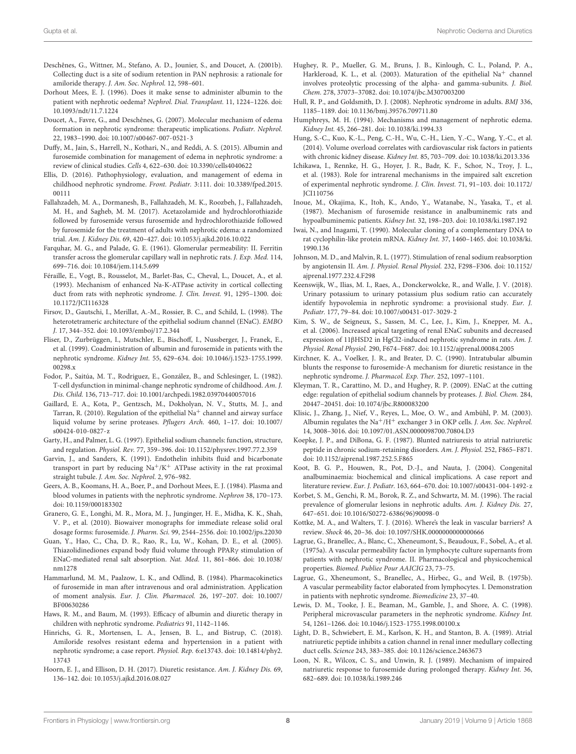- <span id="page-7-28"></span>Deschênes, G., Wittner, M., Stefano, A. D., Jounier, S., and Doucet, A. (2001b). Collecting duct is a site of sodium retention in PAN nephrosis: a rationale for amiloride therapy. J. Am. Soc. Nephrol. 12, 598–601.
- <span id="page-7-38"></span>Dorhout Mees, E. J. (1996). Does it make sense to administer albumin to the patient with nephrotic oedema? Nephrol. Dial. Transplant. 11, 1224–1226. [doi:](https://doi.org/10.1093/ndt/11.7.1224) [10.1093/ndt/11.7.1224](https://doi.org/10.1093/ndt/11.7.1224)
- <span id="page-7-0"></span>Doucet, A., Favre, G., and Deschênes, G. (2007). Molecular mechanism of edema formation in nephrotic syndrome: therapeutic implications. Pediatr. Nephrol. 22, 1983–1990. [doi: 10.1007/s00467-007-0521-3](https://doi.org/10.1007/s00467-007-0521-3)
- <span id="page-7-39"></span>Duffy, M., Jain, S., Harrell, N., Kothari, N., and Reddi, A. S. (2015). Albumin and furosemide combination for management of edema in nephrotic syndrome: a review of clinical studies. Cells 4, 622–630. [doi: 10.3390/cells4040622](https://doi.org/10.3390/cells4040622)
- <span id="page-7-5"></span>Ellis, D. (2016). Pathophysiology, evaluation, and management of edema in childhood nephrotic syndrome. Front. Pediatr. 3:111. [doi: 10.3389/fped.2015.](https://doi.org/10.3389/fped.2015.00111) [00111](https://doi.org/10.3389/fped.2015.00111)
- <span id="page-7-41"></span>Fallahzadeh, M. A., Dormanesh, B., Fallahzadeh, M. K., Roozbeh, J., Fallahzadeh, M. H., and Sagheb, M. M. (2017). Acetazolamide and hydrochlorothiazide followed by furosemide versus furosemide and hydrochlorothiazide followed by furosemide for the treatment of adults with nephrotic edema: a randomized trial. Am. J. Kidney Dis. 69, 420–427. [doi: 10.1053/j.ajkd.2016.10.022](https://doi.org/10.1053/j.ajkd.2016.10.022)
- <span id="page-7-16"></span>Farquhar, M. G., and Palade, G. E. (1961). Glomerular permeability: II. Ferritin transfer across the glomerular capillary wall in nephrotic rats. J. Exp. Med. 114, 699–716. [doi: 10.1084/jem.114.5.699](https://doi.org/10.1084/jem.114.5.699)
- <span id="page-7-8"></span>Féraille, E., Vogt, B., Rousselot, M., Barlet-Bas, C., Cheval, L., Doucet, A., et al. (1993). Mechanism of enhanced Na-K-ATPase activity in cortical collecting duct from rats with nephrotic syndrome. J. Clin. Invest. 91, 1295–1300. [doi:](https://doi.org/10.1172/JCI116328) [10.1172/JCI116328](https://doi.org/10.1172/JCI116328)
- <span id="page-7-24"></span>Firsov, D., Gautschi, I., Merillat, A.-M., Rossier, B. C., and Schild, L. (1998). The heterotetrameric architecture of the epithelial sodium channel (ENaC). EMBO J. 17, 344–352. [doi: 10.1093/emboj/17.2.344](https://doi.org/10.1093/emboj/17.2.344)
- <span id="page-7-35"></span>Fliser, D., Zurbrüggen, I., Mutschler, E., Bischoff, I., Nussberger, J., Franek, E., et al. (1999). Coadministration of albumin and furosemide in patients with the nephrotic syndrome. Kidney Int. 55, 629–634. [doi: 10.1046/j.1523-1755.1999.](https://doi.org/10.1046/j.1523-1755.1999.00298.x) [00298.x](https://doi.org/10.1046/j.1523-1755.1999.00298.x)
- <span id="page-7-2"></span>Fodor, P., Saitúa, M. T., Rodriguez, E., González, B., and Schlesinger, L. (1982). T-cell dysfunction in minimal-change nephrotic syndrome of childhood. Am. J. Dis. Child. 136, 713–717. [doi: 10.1001/archpedi.1982.03970440057016](https://doi.org/10.1001/archpedi.1982.03970440057016)
- <span id="page-7-26"></span>Gaillard, E. A., Kota, P., Gentzsch, M., Dokholyan, N. V., Stutts, M. J., and Tarran, R. (2010). Regulation of the epithelial  $\mathrm{Na}^+$  channel and airway surface liquid volume by serine proteases. Pflugers Arch. 460, 1–17. [doi: 10.1007/](https://doi.org/10.1007/s00424-010-0827-z) [s00424-010-0827-z](https://doi.org/10.1007/s00424-010-0827-z)
- <span id="page-7-22"></span>Garty, H., and Palmer, L. G. (1997). Epithelial sodium channels: function, structure, and regulation. Physiol. Rev. 77, 359–396. [doi: 10.1152/physrev.1997.77.2.359](https://doi.org/10.1152/physrev.1997.77.2.359)
- <span id="page-7-32"></span>Garvin, J., and Sanders, K. (1991). Endothelin inhibits fluid and bicarbonate transport in part by reducing  $\mathrm{Na^+/K^+}$  ATPase activity in the rat proximal straight tubule. J. Am. Soc. Nephrol. 2, 976–982.
- <span id="page-7-10"></span>Geers, A. B., Koomans, H. A., Boer, P., and Dorhout Mees, E. J. (1984). Plasma and blood volumes in patients with the nephrotic syndrome. Nephron 38, 170–173. [doi: 10.1159/000183302](https://doi.org/10.1159/000183302)
- <span id="page-7-31"></span>Granero, G. E., Longhi, M. R., Mora, M. J., Junginger, H. E., Midha, K. K., Shah, V. P., et al. (2010). Biowaiver monographs for immediate release solid oral dosage forms: furosemide. J. Pharm. Sci. 99, 2544–2556. [doi: 10.1002/jps.22030](https://doi.org/10.1002/jps.22030)
- <span id="page-7-42"></span>Guan, Y., Hao, C., Cha, D. R., Rao, R., Lu, W., Kohan, D. E., et al. (2005). Thiazolidinediones expand body fluid volume through PPARγ stimulation of ENaC-mediated renal salt absorption. Nat. Med. 11, 861–866. [doi: 10.1038/](https://doi.org/10.1038/nm1278) [nm1278](https://doi.org/10.1038/nm1278)
- <span id="page-7-30"></span>Hammarlund, M. M., Paalzow, L. K., and Odlind, B. (1984). Pharmacokinetics of furosemide in man after intravenous and oral administration. Application of moment analysis. Eur. J. Clin. Pharmacol. 26, 197–207. [doi: 10.1007/](https://doi.org/10.1007/BF00630286) [BF00630286](https://doi.org/10.1007/BF00630286)
- <span id="page-7-37"></span>Haws, R. M., and Baum, M. (1993). Efficacy of albumin and diuretic therapy in children with nephrotic syndrome. Pediatrics 91, 1142–1146.
- <span id="page-7-29"></span>Hinrichs, G. R., Mortensen, L. A., Jensen, B. L., and Bistrup, C. (2018). Amiloride resolves resistant edema and hypertension in a patient with nephrotic syndrome; a case report. Physiol. Rep. 6:e13743. [doi: 10.14814/phy2.](https://doi.org/10.14814/phy2.13743) [13743](https://doi.org/10.14814/phy2.13743)
- <span id="page-7-40"></span>Hoorn, E. J., and Ellison, D. H. (2017). Diuretic resistance. Am. J. Kidney Dis. 69, 136–142. [doi: 10.1053/j.ajkd.2016.08.027](https://doi.org/10.1053/j.ajkd.2016.08.027)
- <span id="page-7-25"></span>Hughey, R. P., Mueller, G. M., Bruns, J. B., Kinlough, C. L., Poland, P. A., Harkleroad, K. L., et al. (2003). Maturation of the epithelial  $Na^+$  channel involves proteolytic processing of the alpha- and gamma-subunits. J. Biol. Chem. 278, 37073–37082. [doi: 10.1074/jbc.M307003200](https://doi.org/10.1074/jbc.M307003200)
- <span id="page-7-33"></span>Hull, R. P., and Goldsmith, D. J. (2008). Nephrotic syndrome in adults. BMJ 336, 1185–1189. [doi: 10.1136/bmj.39576.709711.80](https://doi.org/10.1136/bmj.39576.709711.80)
- <span id="page-7-4"></span>Humphreys, M. H. (1994). Mechanisms and management of nephrotic edema. Kidney Int. 45, 266–281. [doi: 10.1038/ki.1994.33](https://doi.org/10.1038/ki.1994.33)
- <span id="page-7-3"></span>Hung, S.-C., Kuo, K.-L., Peng, C.-H., Wu, C.-H., Lien, Y.-C., Wang, Y.-C., et al. (2014). Volume overload correlates with cardiovascular risk factors in patients with chronic kidney disease. Kidney Int. 85, 703–709. [doi: 10.1038/ki.2013.336](https://doi.org/10.1038/ki.2013.336)
- <span id="page-7-7"></span>Ichikawa, I., Rennke, H. G., Hoyer, J. R., Badr, K. F., Schor, N., Troy, J. L., et al. (1983). Role for intrarenal mechanisms in the impaired salt excretion of experimental nephrotic syndrome. J. Clin. Invest. 71, 91–103. [doi: 10.1172/](https://doi.org/10.1172/JCI110756) [JCI110756](https://doi.org/10.1172/JCI110756)
- <span id="page-7-36"></span>Inoue, M., Okajima, K., Itoh, K., Ando, Y., Watanabe, N., Yasaka, T., et al. (1987). Mechanism of furosemide resistance in analbuminemic rats and hypoalbuminemic patients. Kidney Int. 32, 198–203. [doi: 10.1038/ki.1987.192](https://doi.org/10.1038/ki.1987.192)
- <span id="page-7-21"></span>Iwai, N., and Inagami, T. (1990). Molecular cloning of a complementary DNA to rat cyclophilin-like protein mRNA. Kidney Int. 37, 1460–1465. [doi: 10.1038/ki.](https://doi.org/10.1038/ki.1990.136) [1990.136](https://doi.org/10.1038/ki.1990.136)
- <span id="page-7-19"></span>Johnson, M. D., and Malvin, R. L. (1977). Stimulation of renal sodium reabsorption by angiotensin II. Am. J. Physiol. Renal Physiol. 232, F298–F306. [doi: 10.1152/](https://doi.org/10.1152/ajprenal.1977.232.4.F298) [ajprenal.1977.232.4.F298](https://doi.org/10.1152/ajprenal.1977.232.4.F298)
- <span id="page-7-13"></span>Keenswijk, W., Ilias, M. I., Raes, A., Donckerwolcke, R., and Walle, J. V. (2018). Urinary potassium to urinary potassium plus sodium ratio can accurately identify hypovolemia in nephrotic syndrome: a provisional study. Eur. J. Pediatr. 177, 79–84. [doi: 10.1007/s00431-017-3029-2](https://doi.org/10.1007/s00431-017-3029-2)
- <span id="page-7-9"></span>Kim, S. W., de Seigneux, S., Sassen, M. C., Lee, J., Kim, J., Knepper, M. A., et al. (2006). Increased apical targeting of renal ENaC subunits and decreased expression of 11βHSD2 in HgCl2-induced nephrotic syndrome in rats. Am. J. Physiol. Renal Physiol. 290, F674–F687. [doi: 10.1152/ajprenal.00084.2005](https://doi.org/10.1152/ajprenal.00084.2005)
- <span id="page-7-34"></span>Kirchner, K. A., Voelker, J. R., and Brater, D. C. (1990). Intratubular albumin blunts the response to furosemide-A mechanism for diuretic resistance in the nephrotic syndrome. J. Pharmacol. Exp. Ther. 252, 1097–1101.
- <span id="page-7-23"></span>Kleyman, T. R., Carattino, M. D., and Hughey, R. P. (2009). ENaC at the cutting edge: regulation of epithelial sodium channels by proteases. J. Biol. Chem. 284, 20447–20451. [doi: 10.1074/jbc.R800083200](https://doi.org/10.1074/jbc.R800083200)
- <span id="page-7-6"></span>Klisic, J., Zhang, J., Nief, V., Reyes, L., Moe, O. W., and Ambühl, P. M. (2003). Albumin regulates the  $\text{Na}^+/ \text{H}^+$  exchanger 3 in OKP cells. *J. Am. Soc. Nephrol.* 14, 3008–3016. [doi: 10.1097/01.ASN.0000098700.70804.D3](https://doi.org/10.1097/01.ASN.0000098700.70804.D3)
- <span id="page-7-11"></span>Koepke, J. P., and DiBona, G. F. (1987). Blunted natriuresis to atrial natriuretic peptide in chronic sodium-retaining disorders. Am. J. Physiol. 252, F865–F871. [doi: 10.1152/ajprenal.1987.252.5.F865](https://doi.org/10.1152/ajprenal.1987.252.5.F865)
- <span id="page-7-12"></span>Koot, B. G. P., Houwen, R., Pot, D.-J., and Nauta, J. (2004). Congenital analbuminaemia: biochemical and clinical implications. A case report and literature review. Eur. J. Pediatr. 163, 664–670. [doi: 10.1007/s00431-004-1492-z](https://doi.org/10.1007/s00431-004-1492-z)
- <span id="page-7-1"></span>Korbet, S. M., Genchi, R. M., Borok, R. Z., and Schwartz, M. M. (1996). The racial prevalence of glomerular lesions in nephrotic adults. Am. J. Kidney Dis. 27, 647–651. [doi: 10.1016/S0272-6386\(96\)90098-0](https://doi.org/10.1016/S0272-6386(96)90098-0)
- <span id="page-7-14"></span>Kottke, M. A., and Walters, T. J. (2016). Where's the leak in vascular barriers? A review. Shock 46, 20–36. [doi: 10.1097/SHK.0000000000000666](https://doi.org/10.1097/SHK.0000000000000666)
- <span id="page-7-18"></span>Lagrue, G., Branellec, A., Blanc, C., Xheneumont, S., Beaudoux, F., Sobel, A., et al. (1975a). A vascular permeability factor in lymphocyte culture supernants from patients with nephrotic syndrome. II. Pharmacological and physicochemical properties. Biomed. Publiee Pour AAICIG 23, 73–75.
- <span id="page-7-17"></span>Lagrue, G., Xheneumont, S., Branellec, A., Hirbec, G., and Weil, B. (1975b). A vascular permeability factor elaborated from lymphocytes. I. Demonstration in patients with nephrotic syndrome. Biomedicine 23, 37–40.
- <span id="page-7-15"></span>Lewis, D. M., Tooke, J. E., Beaman, M., Gamble, J., and Shore, A. C. (1998). Peripheral microvascular parameters in the nephrotic syndrome. Kidney Int. 54, 1261–1266. [doi: 10.1046/j.1523-1755.1998.00100.x](https://doi.org/10.1046/j.1523-1755.1998.00100.x)
- <span id="page-7-20"></span>Light, D. B., Schwiebert, E. M., Karlson, K. H., and Stanton, B. A. (1989). Atrial natriuretic peptide inhibits a cation channel in renal inner medullary collecting duct cells. Science 243, 383–385. [doi: 10.1126/science.2463673](https://doi.org/10.1126/science.2463673)
- <span id="page-7-27"></span>Loon, N. R., Wilcox, C. S., and Unwin, R. J. (1989). Mechanism of impaired natriuretic response to furosemide during prolonged therapy. Kidney Int. 36, 682–689. [doi: 10.1038/ki.1989.246](https://doi.org/10.1038/ki.1989.246)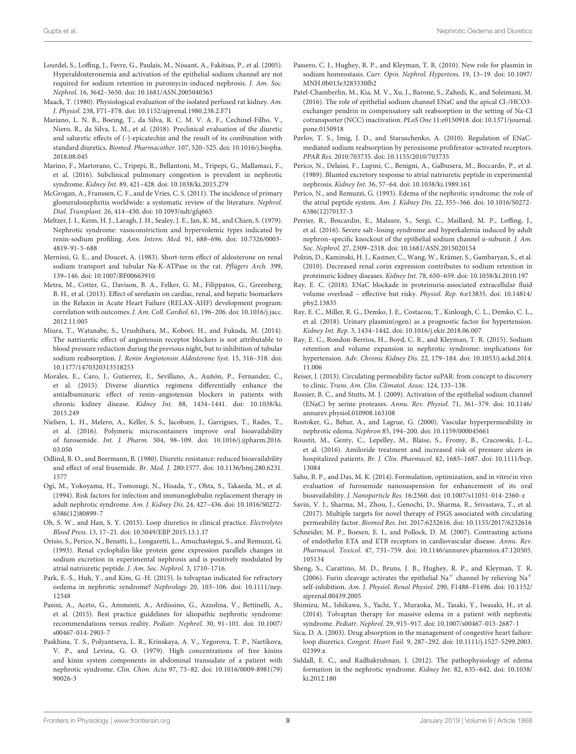- <span id="page-8-7"></span>Lourdel, S., Loffing, J., Favre, G., Paulais, M., Nissant, A., Fakitsas, P., et al. (2005). Hyperaldosteronemia and activation of the epithelial sodium channel are not required for sodium retention in puromycin-induced nephrosis. J. Am. Soc. Nephrol. 16, 3642–3650. [doi: 10.1681/ASN.2005040363](https://doi.org/10.1681/ASN.2005040363)
- <span id="page-8-14"></span>Maack, T. (1980). Physiological evaluation of the isolated perfused rat kidney. Am. J. Physiol. 238, F71–F78. [doi: 10.1152/ajprenal.1980.238.2.F71](https://doi.org/10.1152/ajprenal.1980.238.2.F71)
- <span id="page-8-37"></span>Mariano, L. N. B., Boeing, T., da Silva, R. C. M. V. A. F., Cechinel-Filho, V., Niero, R., da Silva, L. M., et al. (2018). Preclinical evaluation of the diuretic and saluretic effects of (-)-epicatechin and the result of its combination with standard diuretics. Biomed. Pharmacother. 107, 520–525. [doi: 10.1016/j.biopha.](https://doi.org/10.1016/j.biopha.2018.08.045) [2018.08.045](https://doi.org/10.1016/j.biopha.2018.08.045)
- <span id="page-8-2"></span>Marino, F., Martorano, C., Tripepi, R., Bellantoni, M., Tripepi, G., Mallamaci, F., et al. (2016). Subclinical pulmonary congestion is prevalent in nephrotic syndrome. Kidney Int. 89, 421–428. [doi: 10.1038/ki.2015.279](https://doi.org/10.1038/ki.2015.279)
- <span id="page-8-0"></span>McGrogan, A., Franssen, C. F., and de Vries, C. S. (2011). The incidence of primary glomerulonephritis worldwide: a systematic review of the literature. Nephrol. Dial. Transplant. 26, 414–430. [doi: 10.1093/ndt/gfq665](https://doi.org/10.1093/ndt/gfq665)
- <span id="page-8-8"></span>Meltzer, J. I., Keim, H. J., Laragh, J. H., Sealey, J. E., Jan, K. M., and Chien, S. (1979). Nephrotic syndrome: vasoconstriction and hypervolemic types indicated by renin-sodium profiling. Ann. Intern. Med. 91, 688–696. [doi: 10.7326/0003-](https://doi.org/10.7326/0003-4819-91-5-688) [4819-91-5-688](https://doi.org/10.7326/0003-4819-91-5-688)
- <span id="page-8-6"></span>Mernissi, G. E., and Doucet, A. (1983). Short-term effect of aldosterone on renal sodium transport and tubular Na-K-ATPase in the rat. Pflügers Arch. 399, 139–146. [doi: 10.1007/BF00663910](https://doi.org/10.1007/BF00663910)
- <span id="page-8-36"></span>Metra, M., Cotter, G., Davison, B. A., Felker, G. M., Filippatos, G., Greenberg, B. H., et al. (2013). Effect of serelaxin on cardiac, renal, and hepatic biomarkers in the Relaxin in Acute Heart Failure (RELAX-AHF) development program: correlation with outcomes. J. Am. Coll. Cardiol. 61, 196–206. [doi: 10.1016/j.jacc.](https://doi.org/10.1016/j.jacc.2012.11.005) [2012.11.005](https://doi.org/10.1016/j.jacc.2012.11.005)
- <span id="page-8-13"></span>Miura, T., Watanabe, S., Urushihara, M., Kobori, H., and Fukuda, M. (2014). The natriuretic effect of angiotensin receptor blockers is not attributable to blood pressure reduction during the previous night, but to inhibition of tubular sodium reabsorption. J. Renin Angiotensin Aldosterone Syst. 15, 316–318. [doi:](https://doi.org/10.1177/1470320313518253) [10.1177/1470320313518253](https://doi.org/10.1177/1470320313518253)
- <span id="page-8-27"></span>Morales, E., Caro, J., Gutierrez, E., Sevillano, A., Auñón, P., Fernandez, C., et al. (2015). Diverse diuretics regimens differentially enhance the antialbuminuric effect of renin–angiotensin blockers in patients with chronic kidney disease. Kidney Int. 88, 1434–1441. [doi: 10.1038/ki.](https://doi.org/10.1038/ki.2015.249) [2015.249](https://doi.org/10.1038/ki.2015.249)
- <span id="page-8-29"></span>Nielsen, L. H., Melero, A., Keller, S. S., Jacobsen, J., Garrigues, T., Rades, T., et al. (2016). Polymeric microcontainers improve oral bioavailability of furosemide. Int. J. Pharm. 504, 98–109. [doi: 10.1016/j.ijpharm.2016.](https://doi.org/10.1016/j.ijpharm.2016.03.050) [03.050](https://doi.org/10.1016/j.ijpharm.2016.03.050)
- <span id="page-8-30"></span>Odlind, B. O., and Beermann, B. (1980). Diuretic resistance: reduced bioavailability and effect of oral frusemide. Br. Med. J. 280:1577. [doi: 10.1136/bmj.280.6231.](https://doi.org/10.1136/bmj.280.6231.1577) [1577](https://doi.org/10.1136/bmj.280.6231.1577)
- <span id="page-8-1"></span>Ogi, M., Yokoyama, H., Tomosugi, N., Hisada, Y., Ohta, S., Takaeda, M., et al. (1994). Risk factors for infection and immunoglobulin replacement therapy in adult nephrotic syndrome. Am. J. Kidney Dis. 24, 427–436. [doi: 10.1016/S0272-](https://doi.org/10.1016/S0272-6386(12)80899-7) [6386\(12\)80899-7](https://doi.org/10.1016/S0272-6386(12)80899-7)
- <span id="page-8-32"></span>Oh, S. W., and Han, S. Y. (2015). Loop diuretics in clinical practice. Electrolytes Blood Press. 13, 17–21. [doi: 10.5049/EBP.2015.13.1.17](https://doi.org/10.5049/EBP.2015.13.1.17)
- <span id="page-8-15"></span>Orisio, S., Perico, N., Benatti, L., Longaretti, L., Amuchastegui, S., and Remuzzi, G. (1993). Renal cyclophilin-like protein gene expression parallels changes in sodium excretion in experimental nephrosis and is positively modulated by atrial natriuretic peptide. J. Am. Soc. Nephrol. 3, 1710–1716.
- <span id="page-8-34"></span>Park, E.-S., Huh, Y., and Kim, G.-H. (2015). Is tolvaptan indicated for refractory oedema in nephrotic syndrome? Nephrology 20, 103–106. [doi: 10.1111/nep.](https://doi.org/10.1111/nep.12348) [12348](https://doi.org/10.1111/nep.12348)
- <span id="page-8-38"></span>Pasini, A., Aceto, G., Ammenti, A., Ardissino, G., Azzolina, V., Bettinelli, A., et al. (2015). Best practice guidelines for idiopathic nephrotic syndrome: recommendations versus reality. Pediatr. Nephrol. 30, 91–101. [doi: 10.1007/](https://doi.org/10.1007/s00467-014-2903-7) [s00467-014-2903-7](https://doi.org/10.1007/s00467-014-2903-7)
- <span id="page-8-10"></span>Paskhina, T. S., Polyantseva, L. R., Krinskaya, A. V., Yegorova, T. P., Nartikova, V. P., and Levina, G. O. (1979). High concentrations of free kinins and kinin system components in abdominal transudate of a patient with nephrotic syndrome. Clin. Chim. Acta 97, 73–82. [doi: 10.1016/0009-8981\(79\)](https://doi.org/10.1016/0009-8981(79)90026-3) [90026-3](https://doi.org/10.1016/0009-8981(79)90026-3)
- <span id="page-8-18"></span>Passero, C. J., Hughey, R. P., and Kleyman, T. R. (2010). New role for plasmin in sodium homeostasis. Curr. Opin. Nephrol. Hypertens. 19, 13–19. [doi: 10.1097/](https://doi.org/10.1097/MNH.0b013e3283330fb2) [MNH.0b013e3283330fb2](https://doi.org/10.1097/MNH.0b013e3283330fb2)
- <span id="page-8-26"></span>Patel-Chamberlin, M., Kia, M. V., Xu, J., Barone, S., Zahedi, K., and Soleimani, M. (2016). The role of epithelial sodium channel ENaC and the apical Cl-/HCO3 exchanger pendrin in compensatory salt reabsorption in the setting of Na-Cl cotransporter (NCC) inactivation. PLoS One 11:e0150918. [doi: 10.1371/journal.](https://doi.org/10.1371/journal.pone.0150918) [pone.0150918](https://doi.org/10.1371/journal.pone.0150918)
- <span id="page-8-19"></span>Pavlov, T. S., Imig, J. D., and Staruschenko, A. (2010). Regulation of ENaCmediated sodium reabsorption by peroxisome proliferator-activated receptors. PPAR Res. 2010:703735. [doi: 10.1155/2010/703735](https://doi.org/10.1155/2010/703735)
- <span id="page-8-9"></span>Perico, N., Delaini, F., Lupini, C., Benigni, A., Galbusera, M., Boccardo, P., et al. (1989). Blunted excretory response to atrial natriuretic peptide in experimental nephrosis. Kidney Int. 36, 57–64. [doi: 10.1038/ki.1989.161](https://doi.org/10.1038/ki.1989.161)
- <span id="page-8-3"></span>Perico, N., and Remuzzi, G. (1993). Edema of the nephrotic syndrome: the role of the atrial peptide system. Am. J. Kidney Dis. 22, 355–366. [doi: 10.1016/S0272-](https://doi.org/10.1016/S0272-6386(12)70137-3) [6386\(12\)70137-3](https://doi.org/10.1016/S0272-6386(12)70137-3)
- <span id="page-8-25"></span>Perrier, R., Boscardin, E., Malsure, S., Sergi, C., Maillard, M. P., Loffing, J., et al. (2016). Severe salt–losing syndrome and hyperkalemia induced by adult nephron–specific knockout of the epithelial sodium channel α-subunit. J. Am. Soc. Nephrol. 27, 2309–2318. [doi: 10.1681/ASN.2015020154](https://doi.org/10.1681/ASN.2015020154)
- <span id="page-8-16"></span>Polzin, D., Kaminski, H. J., Kastner, C., Wang, W., Krämer, S., Gambaryan, S., et al. (2010). Decreased renal corin expression contributes to sodium retention in proteinuric kidney diseases. Kidney Int. 78, 650–659. [doi: 10.1038/ki.2010.197](https://doi.org/10.1038/ki.2010.197)
- <span id="page-8-22"></span>Ray, E. C. (2018). ENaC blockade in proteinuria-associated extracellular fluid volume overload – effective but risky. Physiol. Rep. 6:e13835. [doi: 10.14814/](https://doi.org/10.14814/phy2.13835) [phy2.13835](https://doi.org/10.14814/phy2.13835)
- <span id="page-8-21"></span>Ray, E. C., Miller, R. G., Demko, J. E., Costacou, T., Kinlough, C. L., Demko, C. L., et al. (2018). Urinary plasmin(ogen) as a prognostic factor for hypertension. Kidney Int. Rep. 3, 1434–1442. [doi: 10.1016/j.ekir.2018.06.007](https://doi.org/10.1016/j.ekir.2018.06.007)
- <span id="page-8-5"></span>Ray, E. C., Rondon-Berrios, H., Boyd, C. R., and Kleyman, T. R. (2015). Sodium retention and volume expansion in nephrotic syndrome: implications for hypertension. Adv. Chronic Kidney Dis. 22, 179–184. [doi: 10.1053/j.ackd.2014.](https://doi.org/10.1053/j.ackd.2014.11.006) [11.006](https://doi.org/10.1053/j.ackd.2014.11.006)
- <span id="page-8-24"></span>Reiser, J. (2013). Circulating permeability factor suPAR: from concept to discovery to clinic. Trans. Am. Clin. Climatol. Assoc. 124, 133–138.
- <span id="page-8-17"></span>Rossier, B. C., and Stutts, M. J. (2009). Activation of the epithelial sodium channel (ENaC) by serine proteases. Annu. Rev. Physiol. 71, 361–379. [doi: 10.1146/](https://doi.org/10.1146/annurev.physiol.010908.163108) [annurev.physiol.010908.163108](https://doi.org/10.1146/annurev.physiol.010908.163108)
- <span id="page-8-11"></span>Rostoker, G., Behar, A., and Lagrue, G. (2000). Vascular hyperpermeability in nephrotic edema. Nephron 85, 194–200. [doi: 10.1159/000045661](https://doi.org/10.1159/000045661)
- <span id="page-8-23"></span>Roustit, M., Genty, C., Lepelley, M., Blaise, S., Fromy, B., Cracowski, J.-L., et al. (2016). Amiloride treatment and increased risk of pressure ulcers in hospitalized patients. Br. J. Clin. Pharmacol. 82, 1685–1687. [doi: 10.1111/bcp.](https://doi.org/10.1111/bcp.13084) [13084](https://doi.org/10.1111/bcp.13084)
- <span id="page-8-31"></span>Sahu, B. P., and Das, M. K. (2014). Formulation, optimization, and in vitro/in vivo evaluation of furosemide nanosuspension for enhancement of its oral bioavailability. J. Nanoparticle Res. 16:2360. [doi: 10.1007/s11051-014-2360-z](https://doi.org/10.1007/s11051-014-2360-z)
- <span id="page-8-12"></span>Savin, V. J., Sharma, M., Zhou, J., Genochi, D., Sharma, R., Srivastava, T., et al. (2017). Multiple targets for novel therapy of FSGS associated with circulating permeability factor. Biomed Res. Int. 2017:6232616. [doi: 10.1155/2017/6232616](https://doi.org/10.1155/2017/6232616)
- <span id="page-8-35"></span>Schneider, M. P., Boesen, E. I., and Pollock, D. M. (2007). Contrasting actions of endothelin ETA and ETB receptors in cardiovascular disease. Annu. Rev. Pharmacol. Toxicol. 47, 731–759. [doi: 10.1146/annurev.pharmtox.47.120505.](https://doi.org/10.1146/annurev.pharmtox.47.120505.105134) [105134](https://doi.org/10.1146/annurev.pharmtox.47.120505.105134)
- <span id="page-8-20"></span>Sheng, S., Carattino, M. D., Bruns, J. B., Hughey, R. P., and Kleyman, T. R. (2006). Furin cleavage activates the epithelial Na<sup>+</sup> channel by relieving Na<sup>+</sup> self-inhibition. Am. J. Physiol. Renal Physiol. 290, F1488–F1496. [doi: 10.1152/](https://doi.org/10.1152/ajprenal.00439.2005) [ajprenal.00439.2005](https://doi.org/10.1152/ajprenal.00439.2005)
- <span id="page-8-33"></span>Shimizu, M., Ishikawa, S., Yachi, Y., Muraoka, M., Tasaki, Y., Iwasaki, H., et al. (2014). Tolvaptan therapy for massive edema in a patient with nephrotic syndrome. Pediatr. Nephrol. 29, 915–917. [doi: 10.1007/s00467-013-2687-1](https://doi.org/10.1007/s00467-013-2687-1)
- <span id="page-8-28"></span>Sica, D. A. (2003). Drug absorption in the management of congestive heart failure: loop diuretics. Congest. Heart Fail. 9, 287–292. [doi: 10.1111/j.1527-5299.2003.](https://doi.org/10.1111/j.1527-5299.2003.02399.x) [02399.x](https://doi.org/10.1111/j.1527-5299.2003.02399.x)
- <span id="page-8-4"></span>Siddall, E. C., and Radhakrishnan, J. (2012). The pathophysiology of edema formation in the nephrotic syndrome. Kidney Int. 82, 635–642. [doi: 10.1038/](https://doi.org/10.1038/ki.2012.180) [ki.2012.180](https://doi.org/10.1038/ki.2012.180)